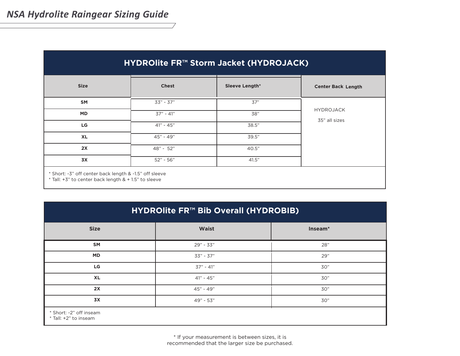| HYDROIite FR™ Storm Jacket (HYDROJACK) |              |                       |                           |  |
|----------------------------------------|--------------|-----------------------|---------------------------|--|
| <b>Size</b>                            | <b>Chest</b> | <b>Sleeve Length*</b> | <b>Center Back Length</b> |  |
| <b>SM</b>                              | $33" - 37"$  | 37"                   |                           |  |
| <b>MD</b>                              | $37" - 41"$  | 38"                   | <b>HYDROJACK</b>          |  |
| LG                                     | $41" - 45"$  | 38.5"                 | 35" all sizes             |  |
| <b>XL</b>                              | $45" - 49"$  | 39.5"                 |                           |  |
| 2X                                     | 48" - 52"    | 40.5"                 |                           |  |
| <b>3X</b>                              | $52" - 56"$  | 41.5"                 |                           |  |

| HYDROIite FR™ Bib Overall (HYDROBIB)             |              |         |  |  |
|--------------------------------------------------|--------------|---------|--|--|
| <b>Size</b>                                      | <b>Waist</b> | Inseam* |  |  |
| <b>SM</b>                                        | $29" - 33"$  | 28"     |  |  |
| <b>MD</b>                                        | 33" - 37"    | 29"     |  |  |
| LG                                               | $37" - 41"$  | 30"     |  |  |
| <b>XL</b>                                        | $41" - 45"$  | 30"     |  |  |
| 2X                                               | 45" - 49"    | 30"     |  |  |
| <b>3X</b>                                        | 49" - 53"    | 30"     |  |  |
| * Short: -2" off inseam<br>* Tall: +2" to inseam |              |         |  |  |

\* If your measurement is between sizes, it is recommended that the larger size be purchased.